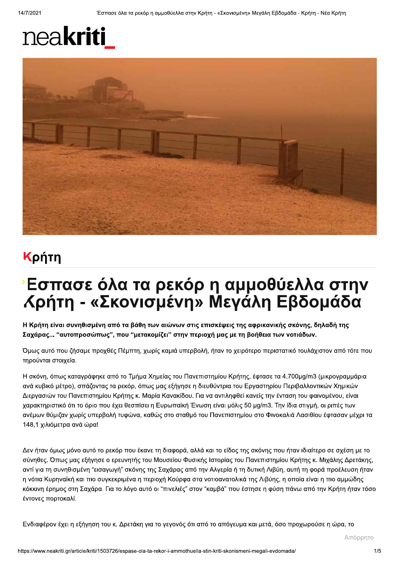## neakriti



## Κρήτη

## **Εσπασε όλα τα ρεκόρ η αμμοθύελλα στην** *Κ*ρήτη - «Σκονισμένη» Μεγάλη Εβδομάδα

Η Κρήτη είναι συνηθισμένη από τα βάθη των αιώνων στις επισκέψεις της αφρικανικής σκόνης, δηλαδή της Σαχάρας... "αυτοπροσώπως", που "μετακομίζει" στην περιοχή μας με τη βοήθεια των νοτιάδων.

Όμως αυτό που ζήσαμε προχθές Πέμπτη, χωρίς καμιά υπερβολή, ήταν το χειρότερο περιστατικό τουλάχιστον από τότε που τηρούνται στοιχεία.

Η σκόνη, όπως καταγράφηκε από το Τμήμα Χημείας του Πανεπιστημίου Κρήτης, έφτασε τα 4.700μg/m3 (μικρογραμμάρια ανά κυβικό μέτρο), σπάζοντας τα ρεκόρ, όπως μας εξήγησε η διευθύντρια του Εργαστηρίου Περιβαλλοντικών Χημικών Διεργασιών του Πανεπιστημίου Κρήτης κ. Μαρία Κανακίδου. Για να αντιληφθεί κανείς την ένταση του φαινομένου, είναι χαρακτηριστικό ότι το όριο που έχει θεσπίσει η Ευρωπαϊκή Ένωση είναι μόλις 50 μg/m3. Την ίδια στιγμή, οι ριπές των ανέμων θύμιζαν χωρίς υπερβολή τυφώνα, καθώς στο σταθμό του Πανεπιστημίου στο Φινοκαλιά Λασιθίου έφτασαν μέχρι τα 148,1 χιλιόμετρα ανά ώρα!

Δεν ήταν όμως μόνο αυτό το ρεκόρ που έκανε τη διαφορά, αλλά και το είδος της σκόνης που ήταν ιδιαίτερο σε σχέση με το σύνηθες. Όπως μας εξήγησε ο ερευνητής του Μουσείου Φυσικής Ιστορίας του Πανεπιστημίου Κρήτης κ. Μιχάλης Δρετάκης, αντί για τη συνηθισμένη "εισαγωγή" σκόνης της Σαχάρας από την Αλγερία ή τη δυτική Λιβύη, αυτή τη φορά προέλευση ήταν η νότια Κυρηναϊκή και πιο συγκεκριμένα η περιοχή Κούρφα στα νοτιοανατολικά της Λιβύης, η οποία είναι η πιο αμμώδης κόκκινη έρημος στη Σαχάρα. Για το λόγο αυτό οι "πινελιές" στον "καμβά" που έστησε η φύση πάνω από την Κρήτη ήταν τόσο έντονες πορτοκαλί.

Ενδιαφέρον έχει η εξήγηση του κ. Δρετάκη για το γεγονός ότι από το απόγευμα και μετά, όσο προχωρούσε η ώρα, το

Απόρρητο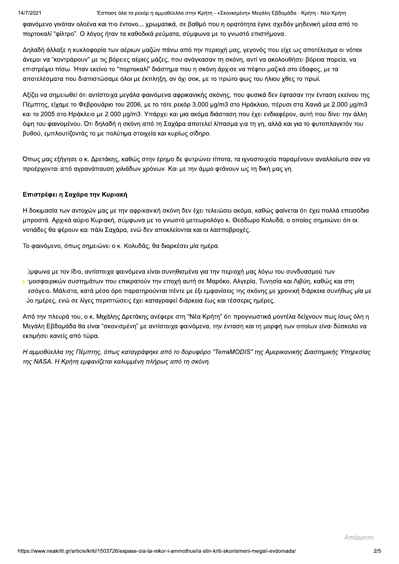Έσπασε όλα τα ρεκόρ η αμμοθύελλα στην Κρήτη - «Σκονισμένη» Μεγάλη Εβδομάδα - Κρήτη - Νέα Κρήτη

φαινόμενο γινόταν ολοένα και πιο έντονο... χρωματικά, σε βαθμό που η ορατότητα έγινε σχεδόν μηδενική μέσα από το πορτοκαλί "φίλτρο". Ο λόγος ήταν τα καθοδικά ρεύματα, σύμφωνα με το γνωστό επιστήμονα.

Δηλαδή άλλαξε η κυκλοφορία των αέριων μαζών πάνω από την περιοχή μας, γεγονός που είχε ως αποτέλεσμα οι νότιοι άνεμοι να "κοντράρουν" με τις βόρειες αέριες μάζες, που ανάγκασαν τη σκόνη, αντί να ακολουθήσει βόρεια πορεία, να επιστρέψει πίσω. Ήταν εκείνο το "πορτοκαλί" διάστημα που η σκόνη άρχισε να πέφτει μαζικά στο έδαφος, με τα αποτελέσματα που διαπιστώσαμε όλοι με έκπληξη, αν όχι σοκ, με το πρώτο φως του ήλιου χθες το πρωί.

Αξίζει να σημειωθεί ότι αντίστοιχα μεγάλα φαινόμενα αφρικανικής σκόνης, που φυσικά δεν έφτασαν την ένταση εκείνου της Πέμπτης, είχαμε το Φεβρουάριο του 2006, με το τότε ρεκόρ 3.000 μg/m3 στο Ηράκλειο, πέρυσι στα Χανιά με 2.000 μg/m3 και το 2005 στο Ηράκλειο με 2.000 μg/m3. Υπάρχει και μια ακόμα διάσταση που έχει ενδιαφέρον, αυτή που δίνει την άλλη όψη του φαινομένου. Ότι δηλαδή η σκόνη από τη Σαχάρα αποτελεί λίπασμα για τη γη, αλλά και για το φυτοπλαγκτόν του βυθού, εμπλουτίζοντάς το με πολύτιμα στοιχεία και κυρίως σίδηρο.

Όπως μας εξήγησε ο κ. Δρετάκης, καθώς στην έρημο δε φυτρώνει τίποτα, τα ιχνοστοιχεία παραμένουν αναλλοίωτα σαν να προέρχονται από αγρανάπαυση χιλιάδων χρόνων. Και με την άμμο φτάνουν ως τη δική μας γη.

## Επιστρέφει η Σαχάρα την Κυριακή

Η δοκιμασία των αντοχών μας με την αφρικανική σκόνη δεν έχει τελειώσει ακόμα, καθώς φαίνεται ότι έχει πολλά επεισόδια μπροστά. Αρχικά αύριο Κυριακή, σύμφωνα με το γνωστό μετεωρολόγο κ. Θεόδωρο Κολυδά, ο οποίος σημειώνει ότι οι νοτιάδες θα φέρουν και πάλι Σαχάρα, ενώ δεν αποκλείονται και οι λασποβροχές.

Το φαινόμενο, όπως σημειώνει ο κ. Κολυδάς, θα διαρκέσει μία ημέρα.

ύμφωνα με τον ίδιο, αντίστοιχα φαινόμενα είναι συνηθισμένα για την περιοχή μας λόγω του συνδυασμού των > τμοσφαιρικών συστημάτων που επικρατούν την εποχή αυτή σε Μαρόκο, Αλγερία, Τυνησία και Λιβύη, καθώς και στη εσόγειο. Μάλιστα, κατά μέσο όρο παρατηρούνται πέντε με έξι εμφανίσεις της σκόνης με χρονική διάρκεια συνήθως μία με ύο ημέρες, ενώ σε λίγες περιπτώσεις έχει καταγραφεί διάρκεια έως και τέσσερις ημέρες.

Από την πλευρά του, ο κ. Μιχάλης Δρετάκης ανέφερε στη "Νέα Κρήτη" ότι προγνωστικά μοντέλα δείχνουν πως ίσως όλη η Μεγάλη Εβδομάδα θα είναι "σκονισμένη" με αντίστοιχα φαινόμενα, την ένταση και τη μορφή των οποίων είναι δύσκολο να εκτιμήσει κανείς από τώρα.

Η αμμοθύελλα της Πέμπτης, όπως καταγράφηκε από το δορυφόρο "TerraMODIS" της Αμερικανικής Διαστημικής Υπηρεσίας της NASA. Η Κρήτη εμφανίζεται καλυμμένη πλήρως από τη σκόνη.